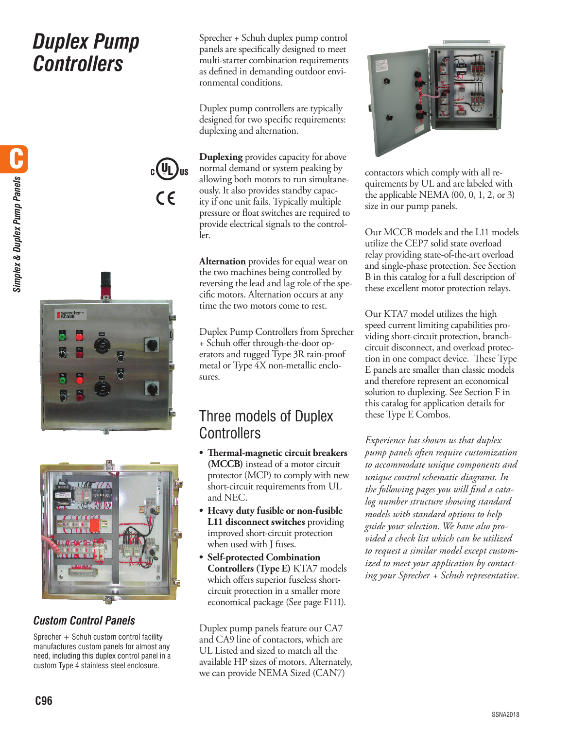# *Duplex Pump Controllers*



 $\epsilon$ 



### *Custom Control Panels*

Sprecher + Schuh custom control facility manufactures custom panels for almost any need, including this duplex control panel in a custom Type 4 stainless steel enclosure.

Sprecher + Schuh duplex pump control panels are specifically designed to meet multi-starter combination requirements as defined in demanding outdoor environmental conditions.

Duplex pump controllers are typically designed for two specific requirements: duplexing and alternation.

**Duplexing** provides capacity for above normal demand or system peaking by allowing both motors to run simultaneously. It also provides standby capacity if one unit fails. Typically multiple pressure or float switches are required to provide electrical signals to the controller.

**Alternation** provides for equal wear on the two machines being controlled by reversing the lead and lag role of the specific motors. Alternation occurs at any time the two motors come to rest.

Duplex Pump Controllers from Sprecher + Schuh offer through-the-door operators and rugged Type 3R rain-proof metal or Type 4X non-metallic enclosures.

## Three models of Duplex **Controllers**

- **• Thermal-magnetic circuit breakers (MCCB)** instead of a motor circuit protector (MCP) to comply with new short-circuit requirements from UL and NEC.
- **• Heavy duty fusible or non-fusible L11 disconnect switches** providing improved short-circuit protection when used with J fuses.
- **• Self-protected Combination Controllers (Type E)** KTA7 models which offers superior fuseless shortcircuit protection in a smaller more economical package (See page F111).

Duplex pump panels feature our CA7 and CA9 line of contactors, which are UL Listed and sized to match all the available HP sizes of motors. Alternately, we can provide NEMA Sized (CAN7)



contactors which comply with all requirements by UL and are labeled with the applicable NEMA (00, 0, 1, 2, or 3) size in our pump panels.

Our MCCB models and the L11 models utilize the CEP7 solid state overload relay providing state-of-the-art overload and single-phase protection. See Section B in this catalog for a full description of these excellent motor protection relays.

Our KTA7 model utilizes the high speed current limiting capabilities providing short-circuit protection, branchcircuit disconnect, and overload protection in one compact device. These Type E panels are smaller than classic models and therefore represent an economical solution to duplexing. See Section F in this catalog for application details for these Type E Combos.

*Experience has shown us that duplex pump panels often require customization to accommodate unique components and unique control schematic diagrams. In the following pages you will find a catalog number structure showing standard models with standard options to help guide your selection. We have also provided a check list which can be utilized to request a similar model except customized to meet your application by contacting your Sprecher + Schuh representative*.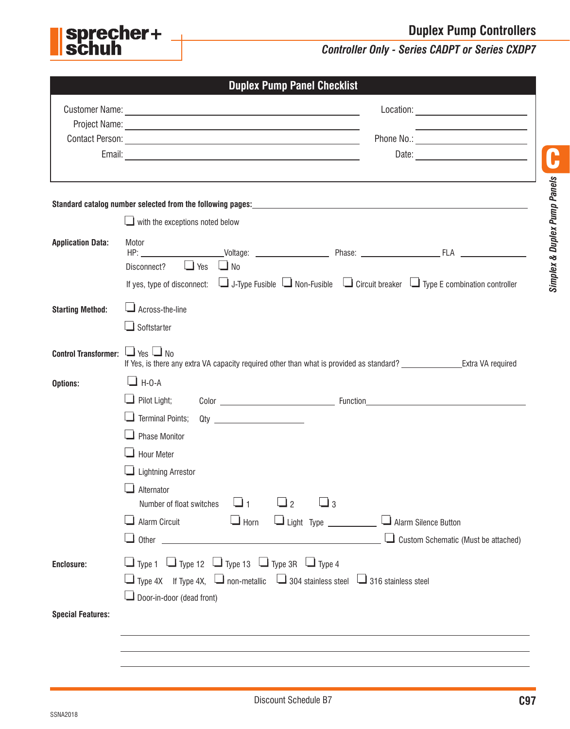**Duplex Pump Controllers**



### *Controller Only - Series CADPT or Series CXDP7*

|                             | <b>Duplex Pump Panel Checklist</b>                                                                                                                   |  |  |  |  |  |
|-----------------------------|------------------------------------------------------------------------------------------------------------------------------------------------------|--|--|--|--|--|
|                             |                                                                                                                                                      |  |  |  |  |  |
|                             |                                                                                                                                                      |  |  |  |  |  |
|                             |                                                                                                                                                      |  |  |  |  |  |
|                             |                                                                                                                                                      |  |  |  |  |  |
|                             |                                                                                                                                                      |  |  |  |  |  |
|                             |                                                                                                                                                      |  |  |  |  |  |
|                             | $\blacksquare$ with the exceptions noted below                                                                                                       |  |  |  |  |  |
| <b>Application Data:</b>    | Motor<br>$\Box$ Yes<br>$\Box$ No<br>Disconnect?                                                                                                      |  |  |  |  |  |
|                             | If yes, type of disconnect: $\Box$ J-Type Fusible $\Box$ Non-Fusible $\Box$ Circuit breaker $\Box$ Type E combination controller                     |  |  |  |  |  |
| <b>Starting Method:</b>     | $\Box$ Across-the-line                                                                                                                               |  |  |  |  |  |
|                             | $\Box$ Softstarter                                                                                                                                   |  |  |  |  |  |
| <b>Control Transformer:</b> | $\Box$ Yes $\Box$ No<br>If Yes, is there any extra VA capacity required other than what is provided as standard? __________________Extra VA required |  |  |  |  |  |
| Options:                    | $\Box$ H-O-A                                                                                                                                         |  |  |  |  |  |
|                             | $\Box$ Pilot Light;                                                                                                                                  |  |  |  |  |  |
|                             | $\Box$ Terminal Points; Qty $\_\_\_\_\_\_\_\_\_\_\_\_\_\_\_\_\_\_\_\_\_\_\_\_\_\_\_\_\_$                                                             |  |  |  |  |  |
|                             | <b>Phase Monitor</b>                                                                                                                                 |  |  |  |  |  |
|                             | <b>Hour Meter</b>                                                                                                                                    |  |  |  |  |  |
|                             | <b>Lightning Arrestor</b>                                                                                                                            |  |  |  |  |  |
|                             | Alternator<br>$\sqcup_2$<br>$\sqcup_3$<br>1 آگا<br>Number of float switches                                                                          |  |  |  |  |  |
|                             | $\Box$ Horn<br>Light Type _______________ Lalarm Silence Button<br><b>Alarm Circuit</b>                                                              |  |  |  |  |  |
|                             | Custom Schematic (Must be attached)                                                                                                                  |  |  |  |  |  |
| Enclosure:                  | $\Box$ Type 1 $\Box$ Type 12 $\Box$ Type 13 $\Box$ Type 3R $\Box$ Type 4                                                                             |  |  |  |  |  |
|                             | $\Box$ Type 4X If Type 4X, $\Box$ non-metallic $\Box$ 304 stainless steel $\Box$ 316 stainless steel                                                 |  |  |  |  |  |
|                             | $\Box$ Door-in-door (dead front)                                                                                                                     |  |  |  |  |  |
| <b>Special Features:</b>    |                                                                                                                                                      |  |  |  |  |  |
|                             |                                                                                                                                                      |  |  |  |  |  |
|                             |                                                                                                                                                      |  |  |  |  |  |
|                             |                                                                                                                                                      |  |  |  |  |  |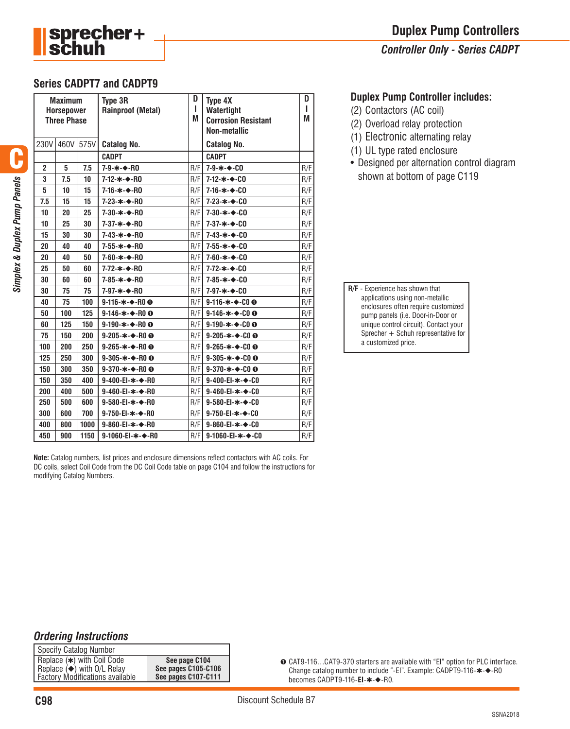

#### *Controller Only - Series CADPT*

#### **Series CADPT7 and CADPT9**

| <b>Maximum</b><br><b>Horsepower</b><br><b>Three Phase</b> |      |      | <b>Type 3R</b><br><b>Rainproof (Metal)</b> | D<br>п<br>M | <b>Type 4X</b><br>Watertight<br><b>Corrosion Resistant</b><br><b>Non-metallic</b> | D<br>ı<br>M |
|-----------------------------------------------------------|------|------|--------------------------------------------|-------------|-----------------------------------------------------------------------------------|-------------|
| 230V                                                      | 460V | 575V | <b>Catalog No.</b>                         |             | <b>Catalog No.</b>                                                                |             |
|                                                           |      |      | <b>CADPT</b>                               |             | <b>CADPT</b>                                                                      |             |
| $\overline{2}$                                            | 5    | 7.5  | 7-9-*-◆-RO                                 | R/F         | $7 - 9 - * - 00$                                                                  | R/F         |
| 3                                                         | 7.5  | 10   | 7-12-*-◆-R0                                | R/F         | $7 - 12 - * - 00$                                                                 | R/F         |
| 5                                                         | 10   | 15   | 7-16-*-◆-R0                                | R/F         | $7 - 16 - * - 00$                                                                 | R/F         |
| 7.5                                                       | 15   | 15   | $7 - 23 - * - * - R0$                      | R/F         | 7-23-*-+-CO                                                                       | R/F         |
| 10                                                        | 20   | 25   | 7-30-*-◆-RO                                | R/F         | $7 - 30 - * - 00$                                                                 | R/F         |
| 10                                                        | 25   | 30   | 7-37-*-◆-R0                                | R/F         | $7 - 37 - * - 00$                                                                 | R/F         |
| 15                                                        | 30   | 30   | 7-43-*-◆-RO                                | R/F         | $7 - 43 - * - 00$                                                                 | R/F         |
| 20                                                        | 40   | 40   | 7-55-*-◆-R0                                | R/F         | $7 - 55 - * - 00$                                                                 | R/F         |
| 20                                                        | 40   | 50   | 7-60-*-◆-RO                                | R/F         | $7 - 60 - * - 00$                                                                 | R/F         |
| 25                                                        | 50   | 60   | 7-72-*-◆-R0                                | R/F         | $7 - 72 - * - 00$                                                                 | R/F         |
| 30                                                        | 60   | 60   | 7-85-*-◆-RO                                | R/F         | $7 - 85 - * - 00$                                                                 | R/F         |
| 30                                                        | 75   | 75   | 7-97-*-◆-RO                                | R/F         | 7-97-*-◆-CO                                                                       | R/F         |
| 40                                                        | 75   | 100  | $9-116-x-$ ROO                             | R/F         | $9-116-x-00$                                                                      | R/F         |
| 50                                                        | 100  | 125  | $9-146-x-R0$ O                             | R/F         | $9 - 146 - * - 000$                                                               | R/F         |
| 60                                                        | 125  | 150  | 9-190- $*$ - $\leftrightarrow$ -ROO        | R/F         | 9-190- $*$ - $*$ -COO                                                             | R/F         |
| 75                                                        | 150  | 200  | 9-205- $\star$ - $\div$ -R00               | R/F         | 9-205- $\ast$ - $\bullet$ -COO                                                    | R/F         |
| 100                                                       | 200  | 250  | 9-265- $*$ - $*$ -R00                      | R/F         | 9-265- $*$ - $*$ -COO                                                             | R/F         |
| 125                                                       | 250  | 300  | 9-305- $\star$ - $\bullet$ -ROO            | R/F         | 9-305- $\ast$ - $\bullet$ -COO                                                    | R/F         |
| 150                                                       | 300  | 350  | 9-370- $*$ - $\bigstar$ -R00               | R/F         | $9 - 370 - * - 000$                                                               | R/F         |
| 150                                                       | 350  | 400  | 9-400-EI-*-◆-R0                            | R/F         | 9-400-EI-*-◆-C0                                                                   | R/F         |
| 200                                                       | 400  | 500  | 9-460-EI-*-◆-R0                            | R/F         | $9 - 460 - E1 - * - 60$                                                           | R/F         |
| 250                                                       | 500  | 600  | 9-580-EI-*-◆-R0                            | R/F         | 9-580-EI-*-◆-CO                                                                   | R/F         |
| 300                                                       | 600  | 700  | 9-750-EI-*-◆-R0                            | R/F         | 9-750-EI-*-◆-C0                                                                   | R/F         |
| 400                                                       | 800  | 1000 | 9-860-El-*-◆-R0                            | R/F         | 9-860-EI- $*$ - $\rightarrow$ -CO                                                 | R/F         |
| 450                                                       | 900  | 1150 | 9-1060-EI-*-◆-R0                           | R/F         | 9-1060-EI-*-◆-C0                                                                  | R/F         |

**Note:** Catalog numbers, list prices and enclosure dimensions reflect contactors with AC coils. For DC coils, select Coil Code from the DC Coil Code table on page C104 and follow the instructions for modifying Catalog Numbers.

#### **Duplex Pump Controller includes:**

- (2) Contactors (AC coil)
- (2) Overload relay protection
- (1) Electronic alternating relay
- (1) UL type rated enclosure
- Designed per alternation control diagram shown at bottom of page C119

**R/F** - Experience has shown that applications using non-metallic enclosures often require customized pump panels (i.e. Door-in-Door or unique control circuit). Contact your Sprecher + Schuh representative for a customized price.

#### *Ordering Instructions*

| <b>Specify Catalog Number</b>            |                     |  |  |  |
|------------------------------------------|---------------------|--|--|--|
| Replace (*) with Coil Code               | See page C104       |  |  |  |
| Replace $(\blacklozenge)$ with O/L Relay | See pages C105-C106 |  |  |  |
| <b>Factory Modifications available</b>   | See pages C107-C111 |  |  |  |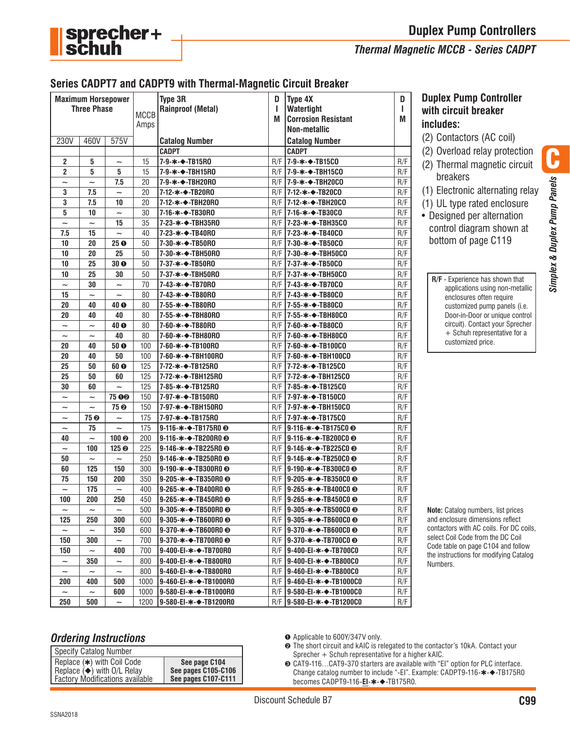



#### *Thermal Magnetic MCCB - Series CADPT*

#### **Series CADPT7 and CADPT9 with Thermal-Magnetic Circuit Breaker**

| <b>Maximum Horsepower</b><br><b>Three Phase</b> |                           |                           | <b>MCCB</b><br>Amps | Type 3R<br><b>Rainproof (Metal)</b>             | D<br>I.<br>M | Type 4X<br>Watertight<br><b>Corrosion Resistant</b><br><b>Non-metallic</b> | D<br>L<br>M |
|-------------------------------------------------|---------------------------|---------------------------|---------------------|-------------------------------------------------|--------------|----------------------------------------------------------------------------|-------------|
| 230V                                            | 460V                      | 575V                      |                     | <b>Catalog Number</b>                           |              | <b>Catalog Number</b>                                                      |             |
|                                                 |                           |                           |                     | <b>CADPT</b>                                    |              | <b>CADPT</b>                                                               |             |
| $\overline{2}$                                  | 5                         | $\tilde{\phantom{0}}$     | 15                  | 7-9-*-◆-TB15R0                                  | R/F          | 7-9-*-◆-TB15C0                                                             | R/F         |
| $\overline{c}$                                  | 5                         | 5                         | 15                  | 7-9-*-◆-TBH15R0                                 | R/F          | 7-9-∗-◆-TBH15CO                                                            | R/F         |
| $\widetilde{\phantom{m}}$                       | $\tilde{\phantom{a}}$     | 7.5                       | 20                  | 7-9-*-◆-TBH20R0                                 |              | $R/F$  7-9- $\star$ - $\bullet$ -TBH20CO                                   | R/F         |
| 3                                               | 7.5                       | $\tilde{}$                | 20                  | 7-12-*-→-TB20R0                                 |              | R/F 17-12-*-→-TB20CO                                                       | R/F         |
| 3                                               | 7.5                       | 10                        | 20                  | 7-12-∗-◆-TBH20R0                                |              | $R/F$   7-12- $\star$ - $\bullet$ -TBH20CO                                 | R/F         |
| 5                                               | 10                        | $\widetilde{\phantom{m}}$ | 30                  | 7-16-*-◆-TB30R0                                 |              | $R/F$   7-16- $\star$ - $\bullet$ -TB30CO                                  | R/F         |
| $\tilde{}$                                      | $\tilde{\phantom{a}}$     | 15                        | 35                  | 7-23-*-◆-TBH35R0                                | R/F          | 7-23-∗-◆-TBH35C0                                                           | R/F         |
| 7.5                                             | 15                        | $\tilde{\phantom{a}}$     | 40                  | 7-23- $\ast$ - $\bullet$ -TB40R0                | R/F          | 7-23-∗-◆-TB40CO                                                            | R/F         |
| 10                                              | 20                        | 25 <sub>o</sub>           | 50                  | 7-30- $\ast$ - $\bullet$ -TB50R0                |              | $R/F$   7-30- $\star$ - $\bullet$ -TB50CO                                  | R/F         |
| 10                                              | 20                        | 25                        | 50                  | 7-30-*-◆-TBH50R0                                |              | $R/F$  7-30- $\star$ - $\bullet$ -TBH50CO                                  | R/F         |
| 10                                              | 25                        | 30 <sub>o</sub>           | 50                  | 7-37-∗-◆-TB50R0                                 |              | $R/F$   7-37- $\star$ - $\bullet$ -TB50CO                                  | R/F         |
| 10                                              | 25                        | 30                        | 50                  | 7-37-∗-◆-TBH50R0                                |              | $R/F$  7-37- $\star$ - $\bullet$ -TBH50CO                                  | R/F         |
| $\tilde{}$                                      | 30                        | $\tilde{\phantom{a}}$     | 70                  | 7-43-∗-◆-TB70R0                                 |              | R/F 17-43-*-←TB70CO                                                        | R/F         |
| 15                                              | $\sim$                    | $\tilde{\phantom{a}}$     | 80                  | 7-43-*-◆-TB80R0                                 | R/F          | 7-43-∗-◆-TB80CO                                                            | R/F         |
| 20                                              | 40                        | 40 <sub>o</sub>           | 80                  | 7-55-*-◆-TB80R0                                 |              | $R/F$   7-55- $\star$ - $\bullet$ -TB80CO                                  | R/F         |
| 20                                              | 40                        | 40                        | 80                  | 7-55-*-◆-TBH80R0                                |              | R/F 17-55-*-→-TBH80CO                                                      | R/F         |
| $\tilde{\phantom{a}}$                           | $\tilde{}$                | 40 O                      | 80                  | 7-60-*-◆-TB80R0                                 |              | $R/F$  7-60- $\star$ - $\bullet$ -TB80CO                                   | R/F         |
| $\widetilde{\phantom{m}}$                       | $\widetilde{\phantom{m}}$ | 40                        | 80                  | 7-60-*-◆-TBH80R0                                |              | $R/F$  7-60- $\star$ - $\bullet$ -TBH80CO                                  | R/F         |
| 20                                              | 40                        | 50 <sub>o</sub>           | 100                 | 7-60-*-◆-TB100RO                                | R/F          | 7-60-∗-◆-TB100CO                                                           | R/F         |
| 20                                              | 40                        | 50                        | 100                 | 7-60-*-◆-TBH100RO                               | R/F          | 7-60-∗-◆-TBH100CO                                                          | R/F         |
| 25                                              | 50                        | 60 <sub>o</sub>           | 125                 | 7-72-*-→-TB125R0                                |              | $R/F$  7-72- $\star$ - $\bullet$ -TB125CO                                  | R/F         |
| 25                                              | 50                        | 60                        | 125                 | 7-72-*-◆-TBH125R0                               |              | R/F   7-72-*-◆-TBH125C0                                                    | R/F         |
| 30                                              | 60                        | $\tilde{}$                | 125                 | 7-85-*-◆-TB125R0                                |              | $R/F$   7-85- $\star$ - $\bullet$ -TB125CO                                 | R/F         |
| $\widetilde{\phantom{m}}$                       | $\widetilde{\phantom{m}}$ | <b>75 00</b>              | 150                 | 7-97-*-→TB150R0                                 |              | $R/F$   7-97- $\star$ - $\bullet$ -TB150CO                                 | R/F         |
| $\widetilde{\phantom{m}}$                       | $\tilde{\phantom{a}}$     | 75 O                      | 150                 | 7-97-*-◆-TBH150RO                               | R/F          | 7-97-∗-◆-TBH150CO                                                          | R/F         |
| $\widetilde{\phantom{m}}$                       | 75 O                      | $\tilde{\phantom{a}}$     | 175                 | 7-97-*-◆-TB175R0                                | R/F          | 7-97-*-◆-TB175C0                                                           | R/F         |
| $\widetilde{\phantom{m}}$                       | 75                        | $\tilde{\phantom{a}}$     | 175                 | $9-116-x-2$ -TB175R0 $\odot$                    |              | $R/F$   9-116- $\ast$ - $\bullet$ -TB175C0 $\odot$                         | R/F         |
| 40                                              | $\widetilde{\phantom{m}}$ | 100 <sub>°</sub>          | 200                 | 9-116- $\ast$ - $\bullet$ -TB200R0 $\odot$      |              | $R/F$   9-116- $\ast$ - $\rightarrow$ -TB200C0 $\odot$                     | R/F         |
| $\tilde{\phantom{0}}$                           | 100                       | 125 ©                     | 225                 | 9-146- $\star$ - $\div$ -TB225R0 $\odot$        | R/F          | 9-146-∗-◆-TB225C0 +                                                        | R/F         |
| 50                                              | $\widetilde{\phantom{m}}$ | $\widetilde{\phantom{m}}$ | 250                 | 9-146- $\ast$ - $\bullet$ -TB250R0 $\odot$      |              | $R/F$   9-146- $\star$ - $\bullet$ -TB250C0 $\odot$                        | R/F         |
| 60                                              | 125                       | 150                       | 300                 | 9-190- $\ast$ - $\bullet$ -TB300R0 $\odot$      | R/F          | 9-190-∗-◆-TB300C0 ❸                                                        | R/F         |
| 75                                              | 150                       | 200                       | 350                 | 9-205- $\ast$ - $\bullet$ -TB350R0 <sup>⊙</sup> | R/F          | 9-205-∗-◆-TB350C0 ❸                                                        | R/F         |
| $\tilde{}$                                      | 175                       | $\widetilde{\phantom{m}}$ | 400                 | 9-265- $\ast$ - $\bullet$ -TB400R0 $\odot$      |              | $R/F$   9-265- $\ast$ - $\bullet$ -TB400C0 $\odot$                         | R/F         |
| 100                                             | 200                       | 250                       | 450                 | 9-265-*-→-TB450R0 <sup>©</sup>                  |              | R/F 9-265-*-→-TB450C0 +                                                    | R/F         |
| $\widetilde{\phantom{m}}$                       | $\widetilde{\phantom{m}}$ | $\tilde{}$                | 500                 | 9-305- $\ast$ - $\rightarrow$ -TB500R0 $\odot$  |              | $R/F$   9-305- $\star$ - $\bullet$ -TB500C0 $\odot$                        | R/F         |
| 125                                             | 250                       | 300                       | 600                 | $9-305-x-$ TB600R0 <sup>☉</sup>                 |              | $R/F$   9-305- $\ast$ - $\rightarrow$ -TB600C0 $\odot$                     | R/F         |
| $\widetilde{\phantom{m}}$                       | $\widetilde{\phantom{m}}$ | 350                       | 600                 | $9-370-x-$ TB600R0 <sup>☉</sup>                 |              | $R/F$   9-370- $\ast$ - $\bullet$ -TB600C0 $\odot$                         | R/F         |
| 150                                             | 300                       | $\tilde{\phantom{a}}$     | 700                 | $9-370-x-7B700R0$                               |              | $R/F$   9-370- $\ast$ - $\bullet$ -TB700C0 $\odot$                         | R/F         |
| 150                                             | $\widetilde{\phantom{m}}$ | 400                       | 700                 | $9-400$ -El- $\ast$ - $\bullet$ -TB700R0        |              | $R/F$   9-400-EI- $\ast$ - $\bullet$ -TB700C0                              | R/F         |
| $\widetilde{\phantom{m}}$                       | 350                       | $\tilde{}$                | 800                 | $9-400$ -EI- $\ast$ - $\bullet$ -TB800R0        |              | $R/F$   9-400-EI- $\ast$ - $\bullet$ -TB800C0                              | R/F         |
| $\widetilde{\phantom{m}}$                       | $\widetilde{\phantom{m}}$ | $\tilde{}$                | 800                 | $9-460 - E1 - * - * - TBB00R0$                  |              | $R/F$   9-460-EI- $\ast$ - $\bullet$ -TB800C0                              | R/F         |
| 200                                             | 400                       | 500                       | 1000                | 9-460-EI-∗-◆-TB1000R0                           |              | $R/F$   9-460-EI- $\ast$ - $\bullet$ -TB1000C0                             | R/F         |
| $\widetilde{\phantom{m}}$                       | $\widetilde{\phantom{m}}$ | 600                       | 1000                | 9-580-EI-*-◆-TB1000R0                           |              | $R/F$   9-580-EI- $\ast$ - $\bullet$ -TB1000C0                             | R/F         |
| 250                                             | 500                       | $\tilde{\phantom{a}}$     | 1200                | 19-580-EI-∗-◆-TB1200R0                          |              | $R/F$   9-580-EI- $*$ - $\rightarrow$ -TB1200C0                            | R/F         |

#### **Duplex Pump Controller with circuit breaker includes:**

- (2) Contactors (AC coil)
- (2) Overload relay protection
- (2) Thermal magnetic circuit
- breakers
- (1) Electronic alternating relay

Simplex & Duplex Pump Panels *Simplex & Duplex Pump Panels*

(1) UL type rated enclosure • Designed per alternation control diagram shown at bottom of page C119

**R/F** - Experience has shown that applications using non-metallic enclosures often require customized pump panels (i.e. Door-in-Door or unique control circuit). Contact your Sprecher + Schuh representative for a customized price.

**Note:** Catalog numbers, list prices and enclosure dimensions reflect contactors with AC coils. For DC coils, select Coil Code from the DC Coil Code table on page C104 and follow the instructions for modifying Catalog Numbers.

#### *Ordering Instructions*

| <b>Specify Catalog Number</b>            |                     |  |  |  |
|------------------------------------------|---------------------|--|--|--|
| Replace $(*)$ with Coil Code             | See page C104       |  |  |  |
| Replace $\leftrightarrow$ with O/L Relay | See pages C105-C106 |  |  |  |
| <b>Factory Modifications available</b>   | See pages C107-C111 |  |  |  |

➊ Applicable to 600Y/347V only.

- ➋ The short circuit and kAIC is relegated to the contactor's 10kA. Contact your Sprecher + Schuh representative for a higher kAIC.
- ➌ CAT9-116…CAT9-370 starters are available with "EI" option for PLC interface. Change catalog number to include "-EI". Example: CADPT9-116-✱-◆-TB175R0 becomes CADPT9-116-**EI-∗-◆-**TB175R0.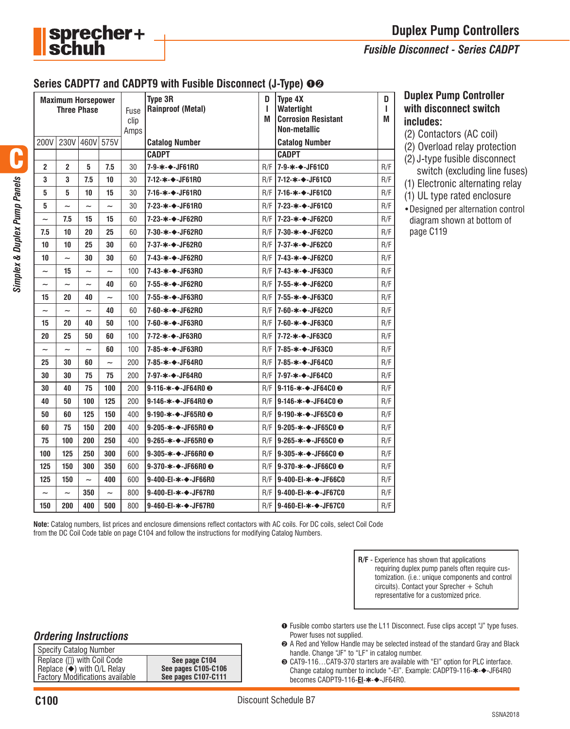

#### *Fusible Disconnect - Series CADPT*

#### **Series CADPT7 and CADPT9 with Fusible Disconnect (J-Type)** ➊➋

| <b>Maximum Horsepower</b><br><b>Three Phase</b> |                          |                           |                       | Fuse<br>clip<br>Amps | Type 3R<br><b>Rainproof (Metal)</b>          | D<br>L<br>M | Type 4X<br>Watertight<br><b>Corrosion Resistant</b><br><b>Non-metallic</b> | D<br>ı<br>M |
|-------------------------------------------------|--------------------------|---------------------------|-----------------------|----------------------|----------------------------------------------|-------------|----------------------------------------------------------------------------|-------------|
| 200V                                            | 230V 460V                |                           | 575V                  |                      | <b>Catalog Number</b>                        |             | <b>Catalog Number</b>                                                      |             |
|                                                 |                          |                           |                       |                      | <b>CADPT</b>                                 |             | <b>CADPT</b>                                                               |             |
| $\mathbf{2}$                                    | $\overline{2}$           | 5                         | 7.5                   | 30                   | 7-9-*-◆-JF61R0                               | R/F         | 17-9-*-◆-JF61C0                                                            | R/F         |
| 3                                               | 3                        | 7.5                       | 10                    | 30                   | 7-12-∗-÷-JF61R0                              | R/F         | $17 - 12 - * -$ -JF61CO                                                    | R/F         |
| 5                                               | 5                        | 10                        | 15                    | 30                   | 7-16-∗-◆-JF61R0                              | R/F         | 17-16-*-◆-JF61C0                                                           | R/F         |
| 5                                               | $\tilde{\phantom{a}}$    | $\tilde{}$                | $\tilde{\phantom{a}}$ | 30                   | 7-23-*-◆-JF61R0                              | R/F         | 17-23-*-→-JF61C0                                                           | R/F         |
| $\widetilde{\phantom{m}}$                       | 7.5                      | 15                        | 15                    | 60                   | 7-23-∗-◆-JF62R0                              | R/F         | 17-23-∗-◆-JF62C0                                                           | R/F         |
| 7.5                                             | 10                       | 20                        | 25                    | 60                   | 7-30-∗-◆-JF62R0                              | R/F         | 17-30-*-◆-JF62C0                                                           | R/F         |
| 10                                              | 10                       | 25                        | 30                    | 60                   | 7-37-∗-◆-JF62R0                              | R/F         | 17-37-∗-÷-JF62C0                                                           | R/F         |
| 10                                              | $\overline{\phantom{0}}$ | 30                        | 30                    | 60                   | 7-43-*-◆-JF62R0                              | R/F         | $17 - 43 - * -$ -JF62CO                                                    | R/F         |
| $\tilde{}$                                      | 15                       | $\tilde{\phantom{a}}$     | $\tilde{\phantom{a}}$ | 100                  | 7-43-∗-◆-JF63R0                              | R/F         | 17-43-∗-◆-JF63C0                                                           | R/F         |
| $\widetilde{\phantom{m}}$                       | ~                        | $\tilde{\phantom{a}}$     | 40                    | 60                   | 7-55-*-◆-JF62R0                              | R/F         | $17-55-x-$ -JF62CO                                                         | R/F         |
| 15                                              | 20                       | 40                        | $\tilde{\phantom{a}}$ | 100                  | 7-55-*-◆-JF63R0                              | R/F         | $17-55-x-$ -JF63CO                                                         | R/F         |
| $\tilde{\phantom{a}}$                           | $\tilde{\phantom{a}}$    | $\overline{\phantom{0}}$  | 40                    | 60                   | 7-60-*-◆-JF62R0                              | R/F         | 17-60-∗-◆-JF62CO                                                           | R/F         |
| 15                                              | 20                       | 40                        | 50                    | 100                  | 7-60-*-◆-JF63R0                              | R/F         | 7-60-*-◆-JF63C0                                                            | R/F         |
| 20                                              | 25                       | 50                        | 60                    | 100                  | 7-72-*-◆-JF63R0                              | R/F         | 17-72-∗-◆-JF63C0                                                           | R/F         |
| $\tilde{}$                                      | $\overline{\phantom{0}}$ | $\overline{\phantom{0}}$  | 60                    | 100                  | 7-85-*-◆-JF63R0                              | R/F         | 7-85-*-◆-JF63C0                                                            | R/F         |
| 25                                              | 30                       | 60                        | $\tilde{\phantom{a}}$ | 200                  | 7-85-*-◆-JF64R0                              | R/F         | 17-85-*-◆-JF64C0                                                           | R/F         |
| 30                                              | 30                       | 75                        | 75                    | 200                  | 7-97-∗-◆-JF64R0                              | R/F         | 17-97-*-◆-JF64C0                                                           | R/F         |
| 30                                              | 40                       | 75                        | 100                   | 200                  | 9-116-∗-◆-JF64R0 ❸                           | R/F         | 19-116-*-◆-JF64C0 <sup>©</sup>                                             | R/F         |
| 40                                              | 50                       | 100                       | 125                   | 200                  | 9-146- $\ast$ - $\bullet$ -JF64R0 $\odot$    | R/F         | 19-146-∗-÷-JF64C0 ©                                                        | R/F         |
| 50                                              | 60                       | 125                       | 150                   | 400                  | 9-190- $*$ - $\blacklozenge$ -JF65R0 $\odot$ | R/F         | $19-190-x-$ -JF65C0 $\odot$                                                | R/F         |
| 60                                              | 75                       | 150                       | 200                   | 400                  | 9-205- $\ast$ - $\bullet$ -JF65R0 $\odot$    | R/F         | 19-205-∗-◆-JF65C0 ©                                                        | R/F         |
| 75                                              | 100                      | 200                       | 250                   | 400                  | 9-265- $\ast$ - $\bullet$ -JF65R0 $\odot$    | R/F         | 19-265-*-◆-JF65C0 <sup>©</sup>                                             | R/F         |
| 100                                             | 125                      | 250                       | 300                   | 600                  | 9-305- $\ast$ - $\bullet$ -JF66R0 $\odot$    | R/F         | $19 - 305 - * -$ -JF66C0 $\odot$                                           | R/F         |
| 125                                             | 150                      | 300                       | 350                   | 600                  | 9-370-*-◆-JF66R0 <sup>©</sup>                | R/F         | 19-370-∗-◆-JF66C0 <b>⊙</b>                                                 | R/F         |
| 125                                             | 150                      | $\widetilde{\phantom{m}}$ | 400                   | 600                  | 9-400-EI-*-◆-JF66R0                          | R/F         | 19-400-EI-∗-◆-JF66C0                                                       | R/F         |
| $\tilde{}$                                      | $\overline{\phantom{0}}$ | 350                       | $\sim$                | 800                  | 9-400-EI-*-◆-JF67R0                          | R/F         | 9-400-EI-*-◆-JF67C0                                                        | R/F         |
| 150                                             | 200                      | 400                       | 500                   | 800                  | 9-460-EI-*-◆-JF67R0                          |             | R/F 9-460-EI-*-◆-JF67C0                                                    | R/F         |

**Duplex Pump Controller with disconnect switch includes:**

- (2) Contactors (AC coil)
- (2) Overload relay protection
- (2) J-type fusible disconnect switch (excluding line fuses)
- (1) Electronic alternating relay
- (1) UL type rated enclosure
- •Designed per alternation control diagram shown at bottom of page C119

C

**Note:** Catalog numbers, list prices and enclosure dimensions reflect contactors with AC coils. For DC coils, select Coil Code from the DC Coil Code table on page C104 and follow the instructions for modifying Catalog Numbers.

> **R/F** - Experience has shown that applications requiring duplex pump panels often require customization. (i.e.: unique components and control circuits). Contact your Sprecher + Schuh representative for a customized price.

- ➊ Fusible combo starters use the L11 Disconnect. Fuse clips accept "J" type fuses. Power fuses not supplied.
- ➋ A Red and Yellow Handle may be selected instead of the standard Gray and Black handle. Change "JF" to "LF" in catalog number.
- ➌ CAT9-116…CAT9-370 starters are available with "EI" option for PLC interface. Change catalog number to include "-EI". Example: CADPT9-116-✱-◆-JF64R0 becomes CADPT9-116-**EI-∗-◆**-JF64R0.

### *Ordering Instructions*

| Specify Catalog Number                  |                     |
|-----------------------------------------|---------------------|
| Replace ([]) with Coil Code             | See page C104       |
| Replace $\ddot{\bullet}$ with O/L Relay | See pages C105-C106 |
| <b>Factory Modifications available</b>  | See pages C107-C111 |